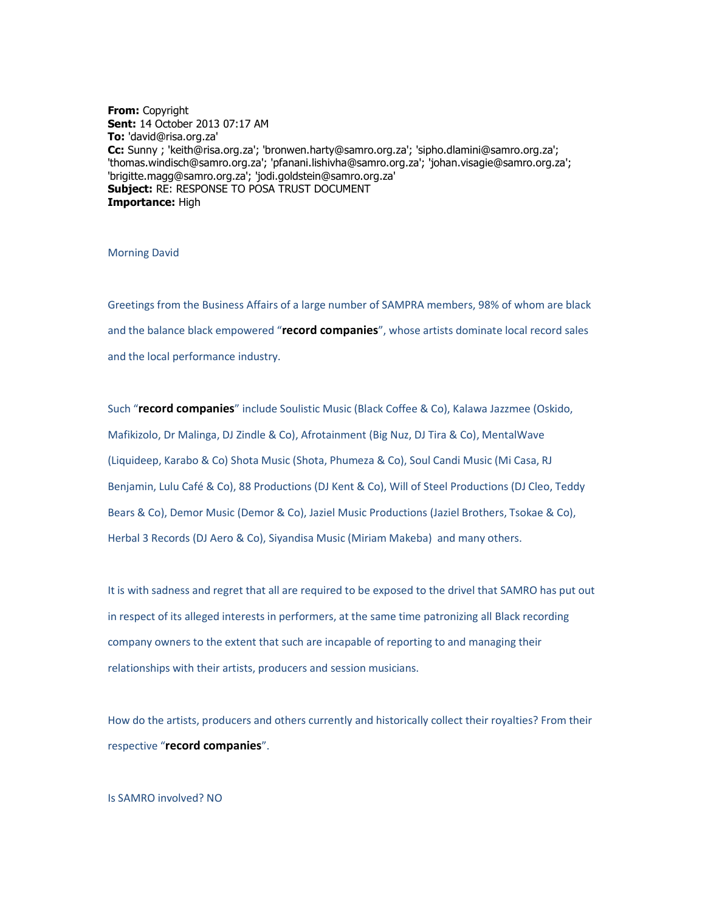**From:** Copyright **Sent:** 14 October 2013 07:17 AM **To:** 'david@risa.org.za' **Cc:** Sunny ; 'keith@risa.org.za'; 'bronwen.harty@samro.org.za'; 'sipho.dlamini@samro.org.za'; 'thomas.windisch@samro.org.za'; 'pfanani.lishivha@samro.org.za'; 'johan.visagie@samro.org.za'; 'brigitte.magg@samro.org.za'; 'jodi.goldstein@samro.org.za' **Subject:** RE: RESPONSE TO POSA TRUST DOCUMENT **Importance:** High

#### Morning David

Greetings from the Business Affairs of a large number of SAMPRA members, 98% of whom are black and the balance black empowered "**record companies**", whose artists dominate local record sales and the local performance industry.

Such "**record companies**" include Soulistic Music (Black Coffee & Co), Kalawa Jazzmee (Oskido, Mafikizolo, Dr Malinga, DJ Zindle & Co), Afrotainment (Big Nuz, DJ Tira & Co), MentalWave (Liquideep, Karabo & Co) Shota Music (Shota, Phumeza & Co), Soul Candi Music (Mi Casa, RJ Benjamin, Lulu Café & Co), 88 Productions (DJ Kent & Co), Will of Steel Productions (DJ Cleo, Teddy Bears & Co), Demor Music (Demor & Co), Jaziel Music Productions (Jaziel Brothers, Tsokae & Co), Herbal 3 Records (DJ Aero & Co), Siyandisa Music (Miriam Makeba) and many others.

It is with sadness and regret that all are required to be exposed to the drivel that SAMRO has put out in respect of its alleged interests in performers, at the same time patronizing all Black recording company owners to the extent that such are incapable of reporting to and managing their relationships with their artists, producers and session musicians.

How do the artists, producers and others currently and historically collect their royalties? From their respective "**record companies**".

#### Is SAMRO involved? NO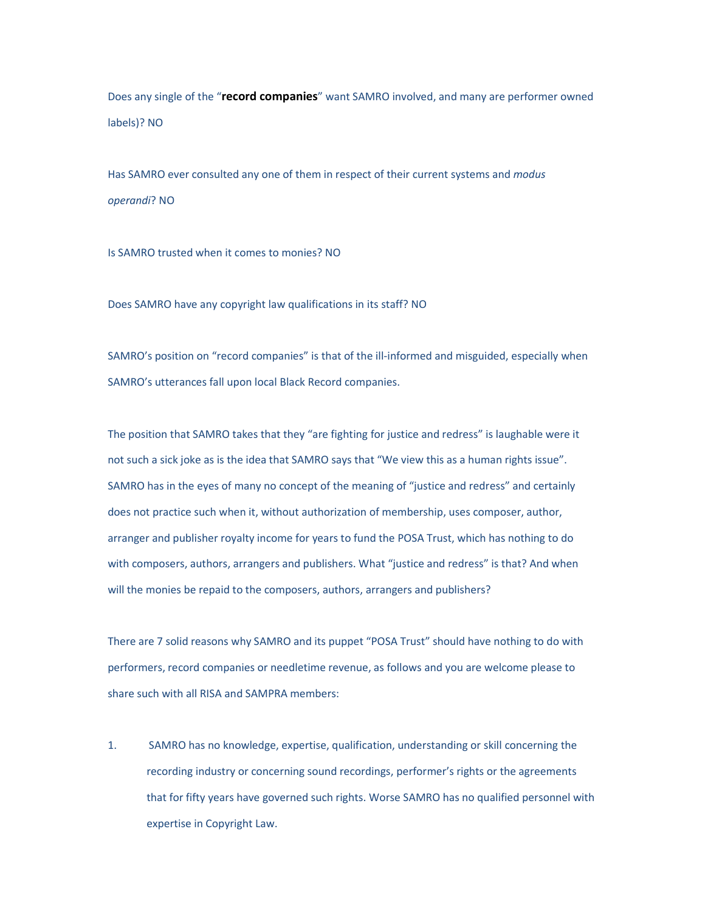Does any single of the "**record companies**" want SAMRO involved, and many are performer owned labels)? NO

Has SAMRO ever consulted any one of them in respect of their current systems and *modus operandi*? NO

Is SAMRO trusted when it comes to monies? NO

Does SAMRO have any copyright law qualifications in its staff? NO

SAMRO's position on "record companies" is that of the ill-informed and misguided, especially when SAMRO's utterances fall upon local Black Record companies.

The position that SAMRO takes that they "are fighting for justice and redress" is laughable were it not such a sick joke as is the idea that SAMRO says that "We view this as a human rights issue". SAMRO has in the eyes of many no concept of the meaning of "justice and redress" and certainly does not practice such when it, without authorization of membership, uses composer, author, arranger and publisher royalty income for years to fund the POSA Trust, which has nothing to do with composers, authors, arrangers and publishers. What "justice and redress" is that? And when will the monies be repaid to the composers, authors, arrangers and publishers?

There are 7 solid reasons why SAMRO and its puppet "POSA Trust" should have nothing to do with performers, record companies or needletime revenue, as follows and you are welcome please to share such with all RISA and SAMPRA members:

1. SAMRO has no knowledge, expertise, qualification, understanding or skill concerning the recording industry or concerning sound recordings, performer's rights or the agreements that for fifty years have governed such rights. Worse SAMRO has no qualified personnel with expertise in Copyright Law.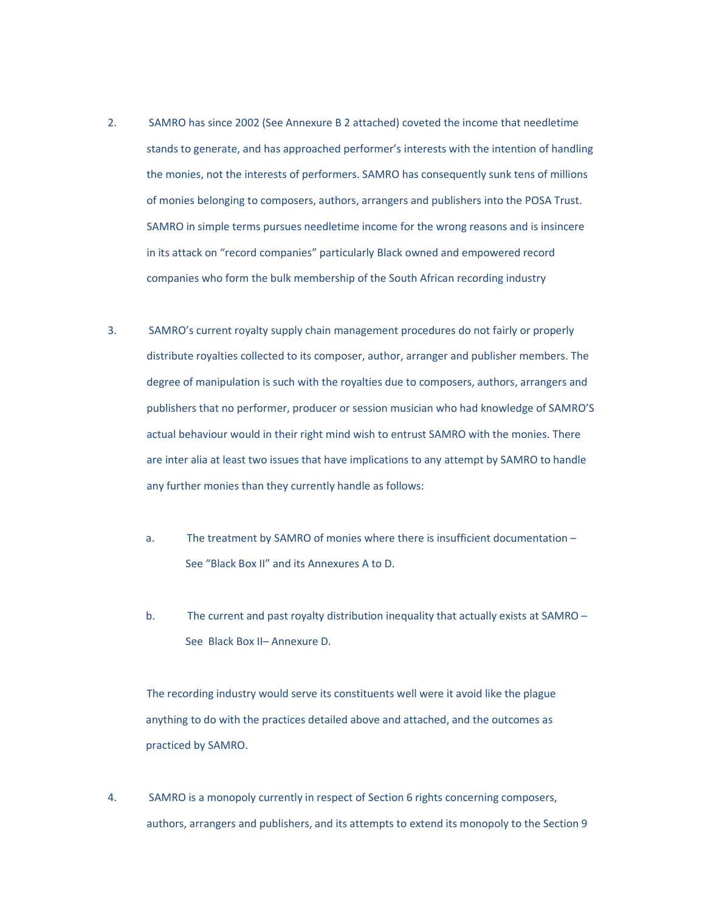- 2. SAMRO has since 2002 (See Annexure B 2 attached) coveted the income that needletime stands to generate, and has approached performer's interests with the intention of handling the monies, not the interests of performers. SAMRO has consequently sunk tens of millions of monies belonging to composers, authors, arrangers and publishers into the POSA Trust. SAMRO in simple terms pursues needletime income for the wrong reasons and is insincere in its attack on "record companies" particularly Black owned and empowered record companies who form the bulk membership of the South African recording industry
- 3. SAMRO's current royalty supply chain management procedures do not fairly or properly distribute royalties collected to its composer, author, arranger and publisher members. The degree of manipulation is such with the royalties due to composers, authors, arrangers and publishers that no performer, producer or session musician who had knowledge of SAMRO'S actual behaviour would in their right mind wish to entrust SAMRO with the monies. There are inter alia at least two issues that have implications to any attempt by SAMRO to handle any further monies than they currently handle as follows:
	- a. The treatment by SAMRO of monies where there is insufficient documentation See "Black Box II" and its Annexures A to D.
	- b. The current and past royalty distribution inequality that actually exists at SAMRO See Black Box II– Annexure D.

The recording industry would serve its constituents well were it avoid like the plague anything to do with the practices detailed above and attached, and the outcomes as practiced by SAMRO.

4. SAMRO is a monopoly currently in respect of Section 6 rights concerning composers, authors, arrangers and publishers, and its attempts to extend its monopoly to the Section 9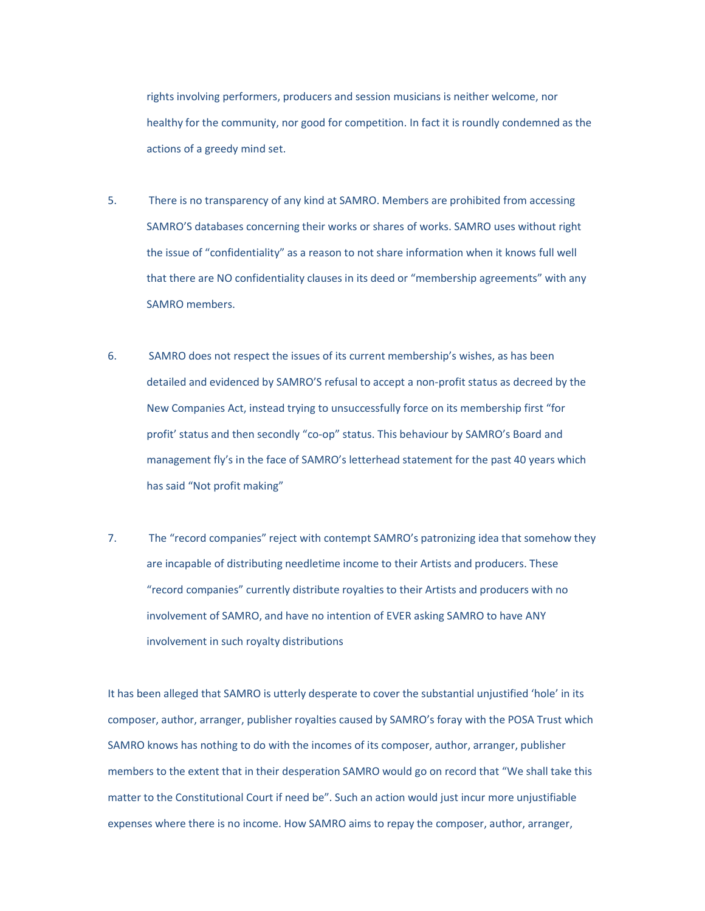rights involving performers, producers and session musicians is neither welcome, nor healthy for the community, nor good for competition. In fact it is roundly condemned as the actions of a greedy mind set.

- 5. There is no transparency of any kind at SAMRO. Members are prohibited from accessing SAMRO'S databases concerning their works or shares of works. SAMRO uses without right the issue of "confidentiality" as a reason to not share information when it knows full well that there are NO confidentiality clauses in its deed or "membership agreements" with any SAMRO members.
- 6. SAMRO does not respect the issues of its current membership's wishes, as has been detailed and evidenced by SAMRO'S refusal to accept a non-profit status as decreed by the New Companies Act, instead trying to unsuccessfully force on its membership first "for profit' status and then secondly "co-op" status. This behaviour by SAMRO's Board and management fly's in the face of SAMRO's letterhead statement for the past 40 years which has said "Not profit making"
- 7. The "record companies" reject with contempt SAMRO's patronizing idea that somehow they are incapable of distributing needletime income to their Artists and producers. These "record companies" currently distribute royalties to their Artists and producers with no involvement of SAMRO, and have no intention of EVER asking SAMRO to have ANY involvement in such royalty distributions

It has been alleged that SAMRO is utterly desperate to cover the substantial unjustified 'hole' in its composer, author, arranger, publisher royalties caused by SAMRO's foray with the POSA Trust which SAMRO knows has nothing to do with the incomes of its composer, author, arranger, publisher members to the extent that in their desperation SAMRO would go on record that "We shall take this matter to the Constitutional Court if need be". Such an action would just incur more unjustifiable expenses where there is no income. How SAMRO aims to repay the composer, author, arranger,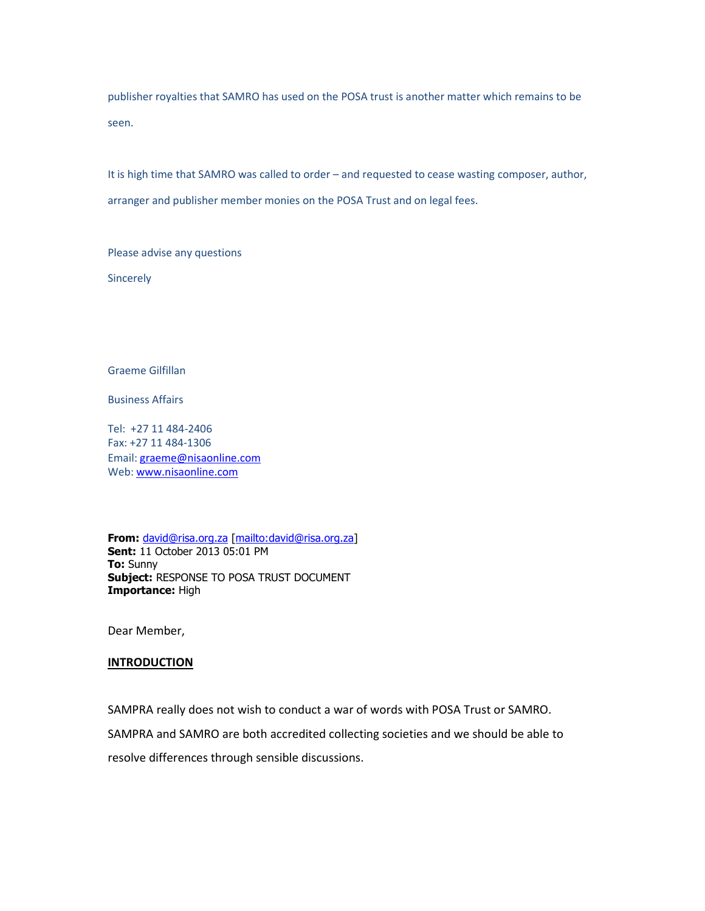publisher royalties that SAMRO has used on the POSA trust is another matter which remains to be seen.

It is high time that SAMRO was called to order – and requested to cease wasting composer, author, arranger and publisher member monies on the POSA Trust and on legal fees.

Please advise any questions

**Sincerely** 

Graeme Gilfillan

Business Affairs

Tel: +27 11 484-2406 Fax: +27 11 484-1306 Email: graeme@nisaonline.com Web: www.nisaonline.com

**From:** david@risa.org.za [mailto:david@risa.org.za] **Sent:** 11 October 2013 05:01 PM **To:** Sunny **Subject:** RESPONSE TO POSA TRUST DOCUMENT **Importance:** High

Dear Member,

#### **INTRODUCTION**

SAMPRA really does not wish to conduct a war of words with POSA Trust or SAMRO.

SAMPRA and SAMRO are both accredited collecting societies and we should be able to

resolve differences through sensible discussions.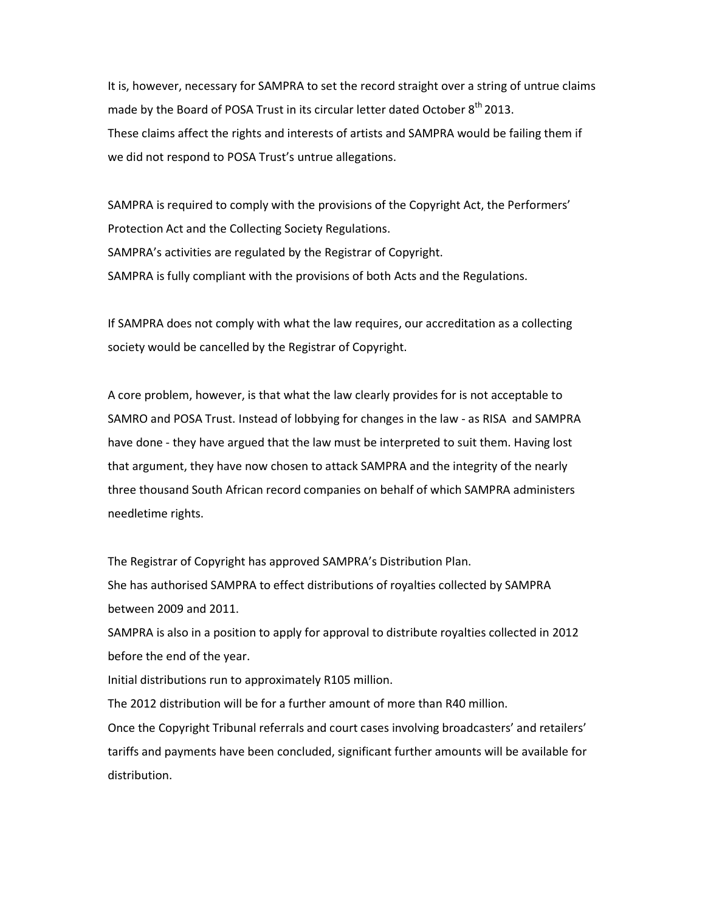It is, however, necessary for SAMPRA to set the record straight over a string of untrue claims made by the Board of POSA Trust in its circular letter dated October 8<sup>th</sup> 2013. These claims affect the rights and interests of artists and SAMPRA would be failing them if we did not respond to POSA Trust's untrue allegations.

SAMPRA is required to comply with the provisions of the Copyright Act, the Performers' Protection Act and the Collecting Society Regulations. SAMPRA's activities are regulated by the Registrar of Copyright. SAMPRA is fully compliant with the provisions of both Acts and the Regulations.

If SAMPRA does not comply with what the law requires, our accreditation as a collecting society would be cancelled by the Registrar of Copyright.

A core problem, however, is that what the law clearly provides for is not acceptable to SAMRO and POSA Trust. Instead of lobbying for changes in the law - as RISA and SAMPRA have done - they have argued that the law must be interpreted to suit them. Having lost that argument, they have now chosen to attack SAMPRA and the integrity of the nearly three thousand South African record companies on behalf of which SAMPRA administers needletime rights.

The Registrar of Copyright has approved SAMPRA's Distribution Plan. She has authorised SAMPRA to effect distributions of royalties collected by SAMPRA between 2009 and 2011.

SAMPRA is also in a position to apply for approval to distribute royalties collected in 2012 before the end of the year.

Initial distributions run to approximately R105 million.

The 2012 distribution will be for a further amount of more than R40 million.

Once the Copyright Tribunal referrals and court cases involving broadcasters' and retailers' tariffs and payments have been concluded, significant further amounts will be available for distribution.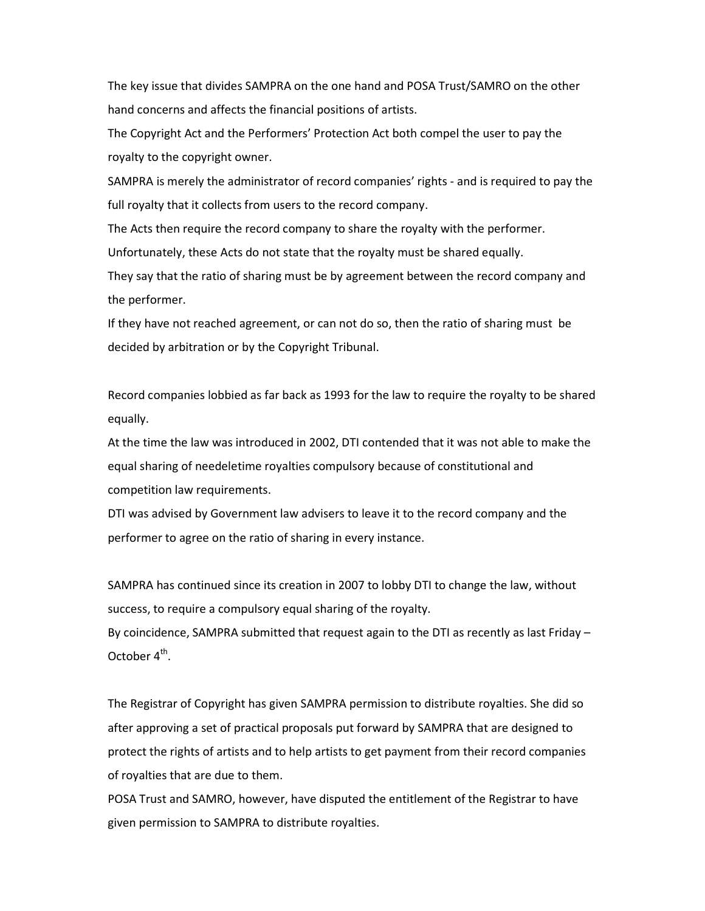The key issue that divides SAMPRA on the one hand and POSA Trust/SAMRO on the other hand concerns and affects the financial positions of artists.

The Copyright Act and the Performers' Protection Act both compel the user to pay the royalty to the copyright owner.

SAMPRA is merely the administrator of record companies' rights - and is required to pay the full royalty that it collects from users to the record company.

The Acts then require the record company to share the royalty with the performer.

Unfortunately, these Acts do not state that the royalty must be shared equally.

They say that the ratio of sharing must be by agreement between the record company and the performer.

If they have not reached agreement, or can not do so, then the ratio of sharing must be decided by arbitration or by the Copyright Tribunal.

Record companies lobbied as far back as 1993 for the law to require the royalty to be shared equally.

At the time the law was introduced in 2002, DTI contended that it was not able to make the equal sharing of needeletime royalties compulsory because of constitutional and competition law requirements.

DTI was advised by Government law advisers to leave it to the record company and the performer to agree on the ratio of sharing in every instance.

SAMPRA has continued since its creation in 2007 to lobby DTI to change the law, without success, to require a compulsory equal sharing of the royalty.

By coincidence, SAMPRA submitted that request again to the DTI as recently as last Friday – October  $4^{\text{th}}$ .

The Registrar of Copyright has given SAMPRA permission to distribute royalties. She did so after approving a set of practical proposals put forward by SAMPRA that are designed to protect the rights of artists and to help artists to get payment from their record companies of royalties that are due to them.

POSA Trust and SAMRO, however, have disputed the entitlement of the Registrar to have given permission to SAMPRA to distribute royalties.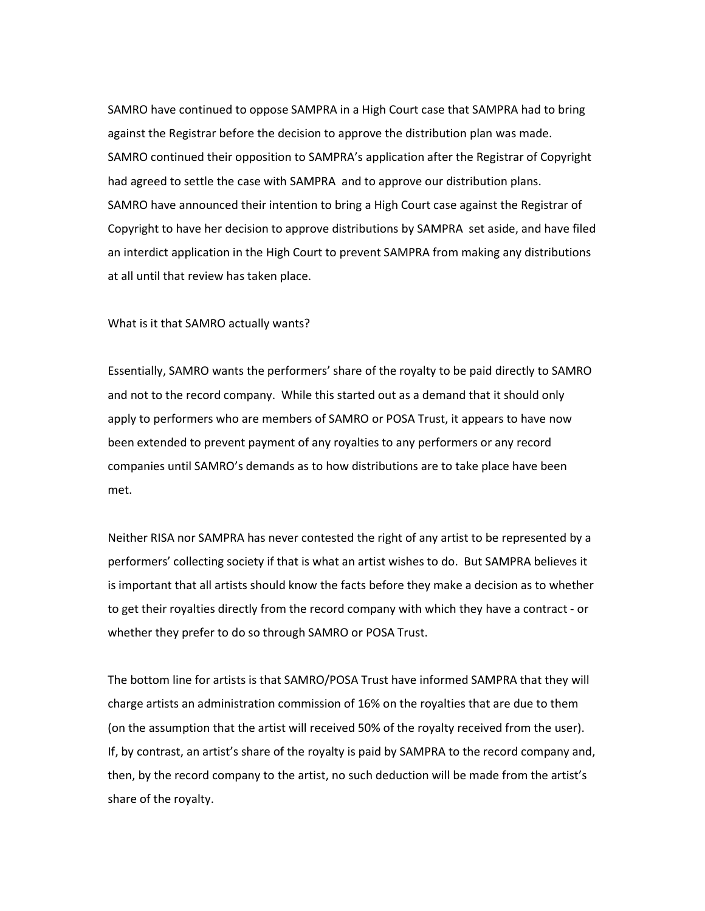SAMRO have continued to oppose SAMPRA in a High Court case that SAMPRA had to bring against the Registrar before the decision to approve the distribution plan was made. SAMRO continued their opposition to SAMPRA's application after the Registrar of Copyright had agreed to settle the case with SAMPRA and to approve our distribution plans. SAMRO have announced their intention to bring a High Court case against the Registrar of Copyright to have her decision to approve distributions by SAMPRA set aside, and have filed an interdict application in the High Court to prevent SAMPRA from making any distributions at all until that review has taken place.

What is it that SAMRO actually wants?

Essentially, SAMRO wants the performers' share of the royalty to be paid directly to SAMRO and not to the record company. While this started out as a demand that it should only apply to performers who are members of SAMRO or POSA Trust, it appears to have now been extended to prevent payment of any royalties to any performers or any record companies until SAMRO's demands as to how distributions are to take place have been met.

Neither RISA nor SAMPRA has never contested the right of any artist to be represented by a performers' collecting society if that is what an artist wishes to do. But SAMPRA believes it is important that all artists should know the facts before they make a decision as to whether to get their royalties directly from the record company with which they have a contract - or whether they prefer to do so through SAMRO or POSA Trust.

The bottom line for artists is that SAMRO/POSA Trust have informed SAMPRA that they will charge artists an administration commission of 16% on the royalties that are due to them (on the assumption that the artist will received 50% of the royalty received from the user). If, by contrast, an artist's share of the royalty is paid by SAMPRA to the record company and, then, by the record company to the artist, no such deduction will be made from the artist's share of the royalty.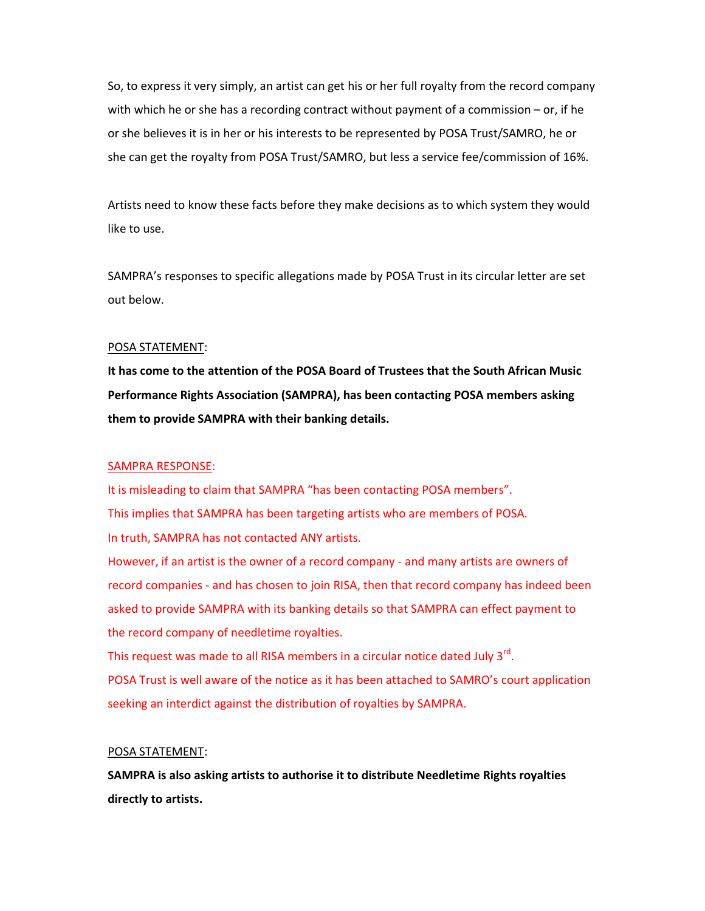So, to express it very simply, an artist can get his or her full royalty from the record company with which he or she has a recording contract without payment of a commission – or, if he or she believes it is in her or his interests to be represented by POSA Trust/SAMRO, he or she can get the royalty from POSA Trust/SAMRO, but less a service fee/commission of 16%.

Artists need to know these facts before they make decisions as to which system they would like to use.

SAMPRA's responses to specific allegations made by POSA Trust in its circular letter are set out below.

## POSA STATEMENT:

**It has come to the attention of the POSA Board of Trustees that the South African Music Performance Rights Association (SAMPRA), has been contacting POSA members asking them to provide SAMPRA with their banking details.**

### SAMPRA RESPONSE:

It is misleading to claim that SAMPRA "has been contacting POSA members". This implies that SAMPRA has been targeting artists who are members of POSA. In truth, SAMPRA has not contacted ANY artists.

However, if an artist is the owner of a record company - and many artists are owners of record companies - and has chosen to join RISA, then that record company has indeed been asked to provide SAMPRA with its banking details so that SAMPRA can effect payment to the record company of needletime royalties.

This request was made to all RISA members in a circular notice dated July 3<sup>rd</sup>. POSA Trust is well aware of the notice as it has been attached to SAMRO's court application seeking an interdict against the distribution of royalties by SAMPRA.

## POSA STATEMENT:

**SAMPRA is also asking artists to authorise it to distribute Needletime Rights royalties directly to artists.**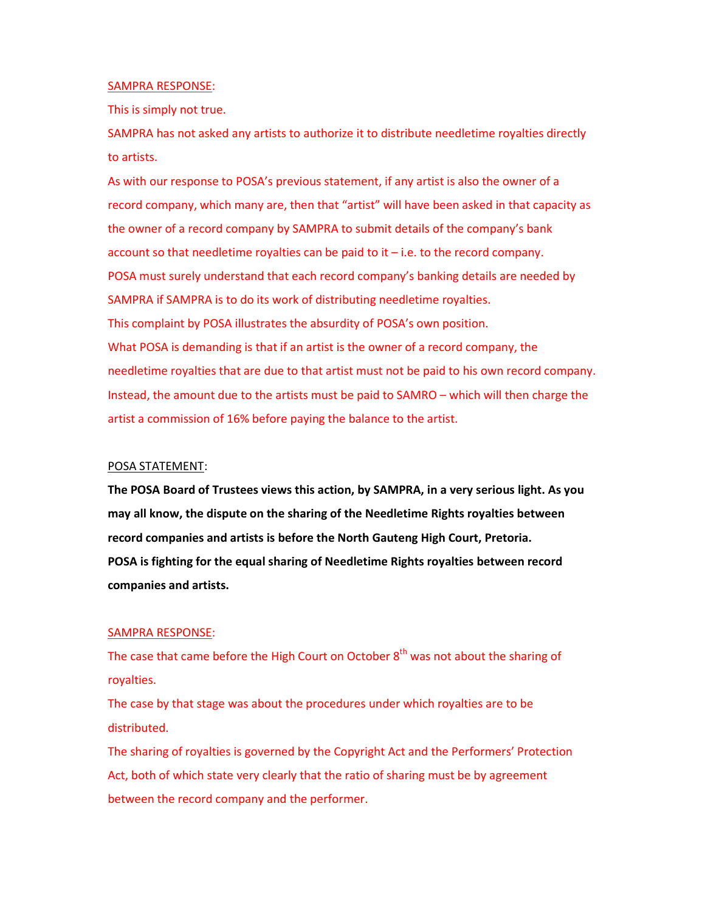#### SAMPRA RESPONSE:

This is simply not true.

SAMPRA has not asked any artists to authorize it to distribute needletime royalties directly to artists.

As with our response to POSA's previous statement, if any artist is also the owner of a record company, which many are, then that "artist" will have been asked in that capacity as the owner of a record company by SAMPRA to submit details of the company's bank account so that needletime royalties can be paid to it – i.e. to the record company. POSA must surely understand that each record company's banking details are needed by SAMPRA if SAMPRA is to do its work of distributing needletime royalties. This complaint by POSA illustrates the absurdity of POSA's own position. What POSA is demanding is that if an artist is the owner of a record company, the needletime royalties that are due to that artist must not be paid to his own record company. Instead, the amount due to the artists must be paid to SAMRO – which will then charge the artist a commission of 16% before paying the balance to the artist.

#### POSA STATEMENT:

**The POSA Board of Trustees views this action, by SAMPRA, in a very serious light. As you may all know, the dispute on the sharing of the Needletime Rights royalties between record companies and artists is before the North Gauteng High Court, Pretoria. POSA is fighting for the equal sharing of Needletime Rights royalties between record companies and artists.**

#### SAMPRA RESPONSE:

The case that came before the High Court on October  $8<sup>th</sup>$  was not about the sharing of royalties.

The case by that stage was about the procedures under which royalties are to be distributed.

The sharing of royalties is governed by the Copyright Act and the Performers' Protection Act, both of which state very clearly that the ratio of sharing must be by agreement between the record company and the performer.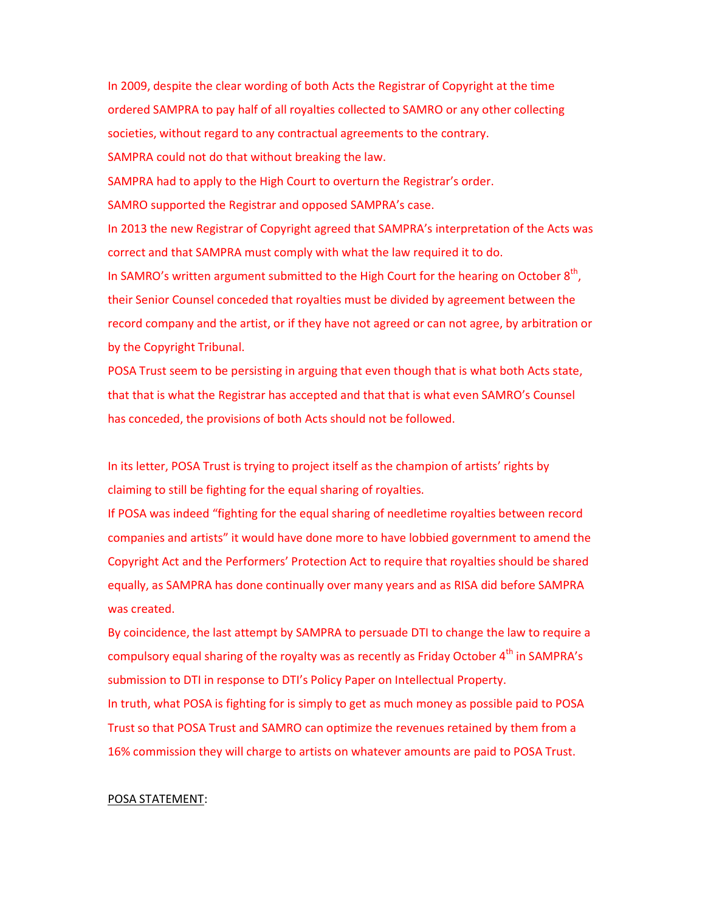In 2009, despite the clear wording of both Acts the Registrar of Copyright at the time ordered SAMPRA to pay half of all royalties collected to SAMRO or any other collecting societies, without regard to any contractual agreements to the contrary. SAMPRA could not do that without breaking the law.

SAMPRA had to apply to the High Court to overturn the Registrar's order.

SAMRO supported the Registrar and opposed SAMPRA's case.

In 2013 the new Registrar of Copyright agreed that SAMPRA's interpretation of the Acts was correct and that SAMPRA must comply with what the law required it to do.

In SAMRO's written argument submitted to the High Court for the hearing on October  $8<sup>th</sup>$ , their Senior Counsel conceded that royalties must be divided by agreement between the record company and the artist, or if they have not agreed or can not agree, by arbitration or by the Copyright Tribunal.

POSA Trust seem to be persisting in arguing that even though that is what both Acts state, that that is what the Registrar has accepted and that that is what even SAMRO's Counsel has conceded, the provisions of both Acts should not be followed.

In its letter, POSA Trust is trying to project itself as the champion of artists' rights by claiming to still be fighting for the equal sharing of royalties.

If POSA was indeed "fighting for the equal sharing of needletime royalties between record companies and artists" it would have done more to have lobbied government to amend the Copyright Act and the Performers' Protection Act to require that royalties should be shared equally, as SAMPRA has done continually over many years and as RISA did before SAMPRA was created.

By coincidence, the last attempt by SAMPRA to persuade DTI to change the law to require a compulsory equal sharing of the royalty was as recently as Friday October  $4<sup>th</sup>$  in SAMPRA's submission to DTI in response to DTI's Policy Paper on Intellectual Property.

In truth, what POSA is fighting for is simply to get as much money as possible paid to POSA Trust so that POSA Trust and SAMRO can optimize the revenues retained by them from a 16% commission they will charge to artists on whatever amounts are paid to POSA Trust.

#### POSA STATEMENT: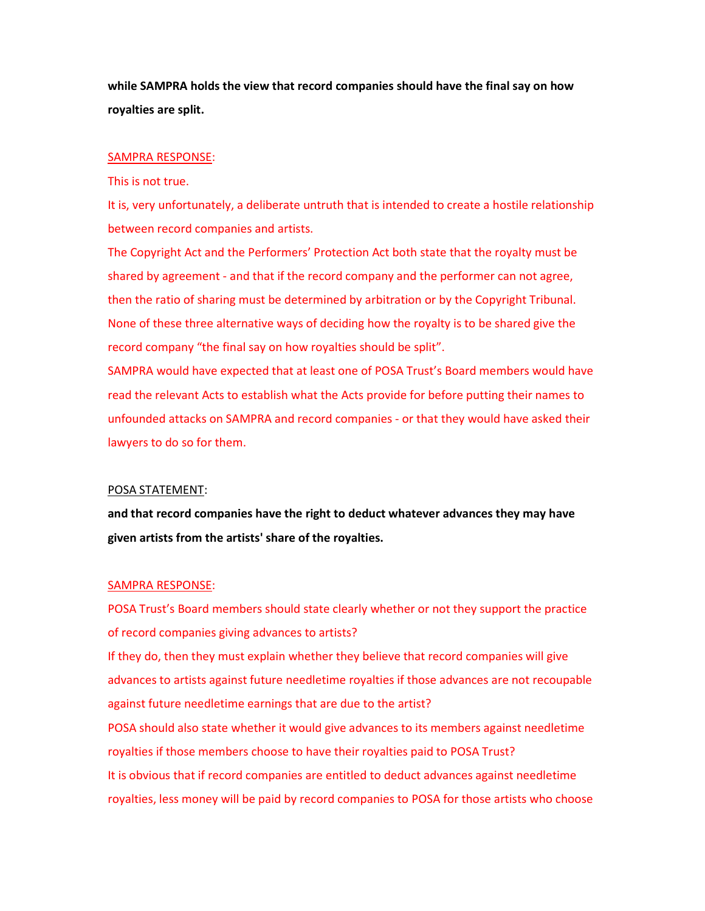**while SAMPRA holds the view that record companies should have the final say on how royalties are split.**

#### SAMPRA RESPONSE:

This is not true.

It is, very unfortunately, a deliberate untruth that is intended to create a hostile relationship between record companies and artists.

The Copyright Act and the Performers' Protection Act both state that the royalty must be shared by agreement - and that if the record company and the performer can not agree, then the ratio of sharing must be determined by arbitration or by the Copyright Tribunal. None of these three alternative ways of deciding how the royalty is to be shared give the record company "the final say on how royalties should be split".

SAMPRA would have expected that at least one of POSA Trust's Board members would have read the relevant Acts to establish what the Acts provide for before putting their names to unfounded attacks on SAMPRA and record companies - or that they would have asked their lawyers to do so for them.

### POSA STATEMENT:

**and that record companies have the right to deduct whatever advances they may have given artists from the artists' share of the royalties.**

#### SAMPRA RESPONSE:

POSA Trust's Board members should state clearly whether or not they support the practice of record companies giving advances to artists? If they do, then they must explain whether they believe that record companies will give advances to artists against future needletime royalties if those advances are not recoupable against future needletime earnings that are due to the artist? POSA should also state whether it would give advances to its members against needletime royalties if those members choose to have their royalties paid to POSA Trust? It is obvious that if record companies are entitled to deduct advances against needletime

royalties, less money will be paid by record companies to POSA for those artists who choose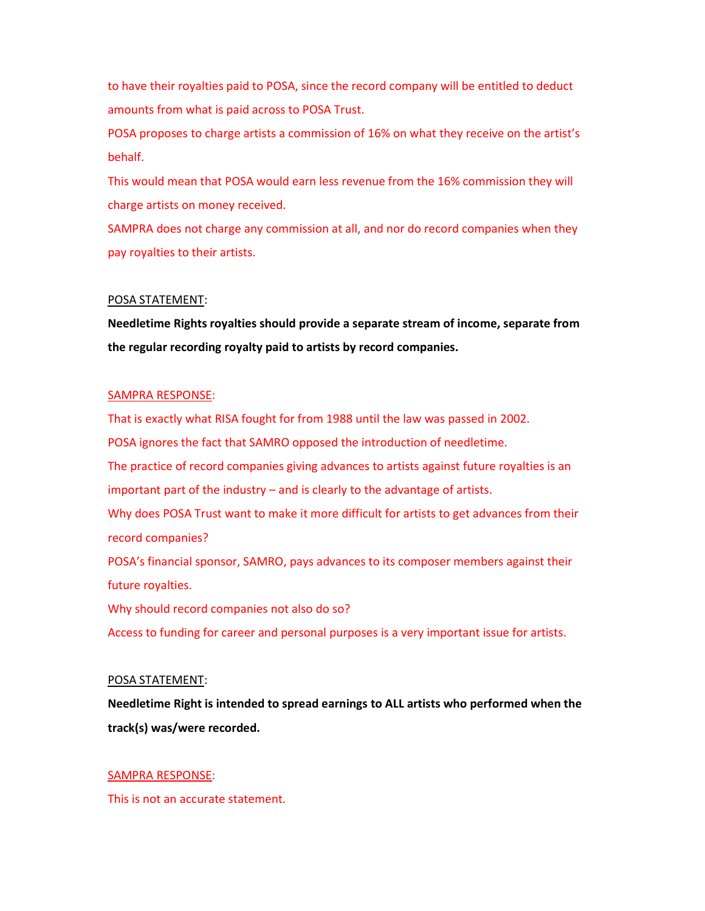to have their royalties paid to POSA, since the record company will be entitled to deduct amounts from what is paid across to POSA Trust.

POSA proposes to charge artists a commission of 16% on what they receive on the artist's behalf.

This would mean that POSA would earn less revenue from the 16% commission they will charge artists on money received.

SAMPRA does not charge any commission at all, and nor do record companies when they pay royalties to their artists.

## POSA STATEMENT:

**Needletime Rights royalties should provide a separate stream of income, separate from the regular recording royalty paid to artists by record companies.** 

## SAMPRA RESPONSE:

That is exactly what RISA fought for from 1988 until the law was passed in 2002. POSA ignores the fact that SAMRO opposed the introduction of needletime. The practice of record companies giving advances to artists against future royalties is an important part of the industry – and is clearly to the advantage of artists. Why does POSA Trust want to make it more difficult for artists to get advances from their record companies? POSA's financial sponsor, SAMRO, pays advances to its composer members against their future royalties. Why should record companies not also do so?

Access to funding for career and personal purposes is a very important issue for artists.

### POSA STATEMENT:

**Needletime Right is intended to spread earnings to ALL artists who performed when the track(s) was/were recorded.**

### SAMPRA RESPONSE:

This is not an accurate statement.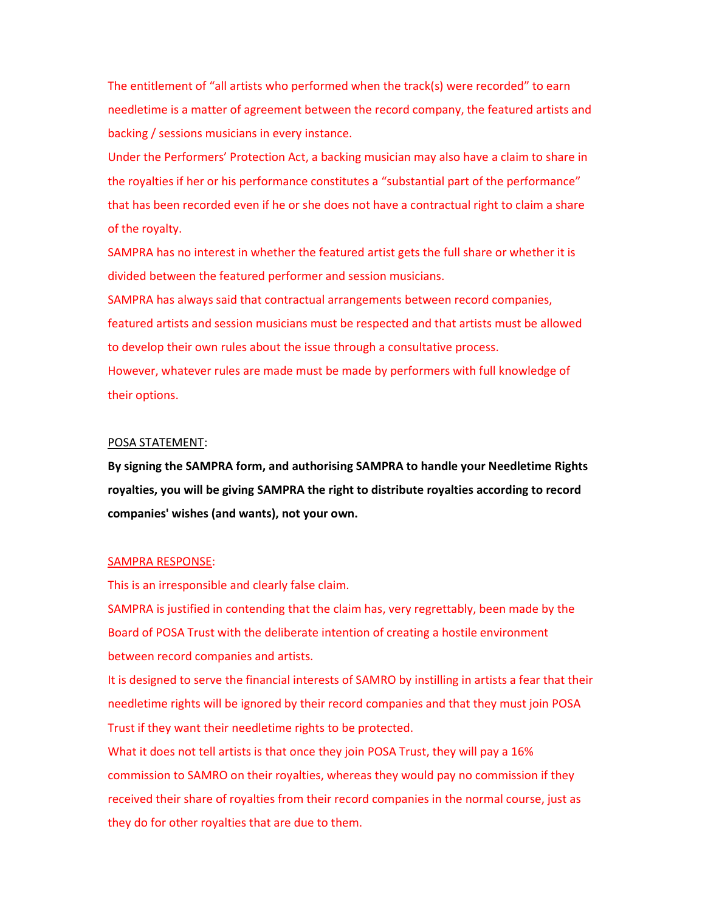The entitlement of "all artists who performed when the track(s) were recorded" to earn needletime is a matter of agreement between the record company, the featured artists and backing / sessions musicians in every instance.

Under the Performers' Protection Act, a backing musician may also have a claim to share in the royalties if her or his performance constitutes a "substantial part of the performance" that has been recorded even if he or she does not have a contractual right to claim a share of the royalty.

SAMPRA has no interest in whether the featured artist gets the full share or whether it is divided between the featured performer and session musicians.

SAMPRA has always said that contractual arrangements between record companies, featured artists and session musicians must be respected and that artists must be allowed to develop their own rules about the issue through a consultative process. However, whatever rules are made must be made by performers with full knowledge of

their options.

## POSA STATEMENT:

**By signing the SAMPRA form, and authorising SAMPRA to handle your Needletime Rights royalties, you will be giving SAMPRA the right to distribute royalties according to record companies' wishes (and wants), not your own.** 

#### SAMPRA RESPONSE:

This is an irresponsible and clearly false claim.

SAMPRA is justified in contending that the claim has, very regrettably, been made by the Board of POSA Trust with the deliberate intention of creating a hostile environment between record companies and artists.

It is designed to serve the financial interests of SAMRO by instilling in artists a fear that their needletime rights will be ignored by their record companies and that they must join POSA Trust if they want their needletime rights to be protected.

What it does not tell artists is that once they join POSA Trust, they will pay a 16% commission to SAMRO on their royalties, whereas they would pay no commission if they received their share of royalties from their record companies in the normal course, just as they do for other royalties that are due to them.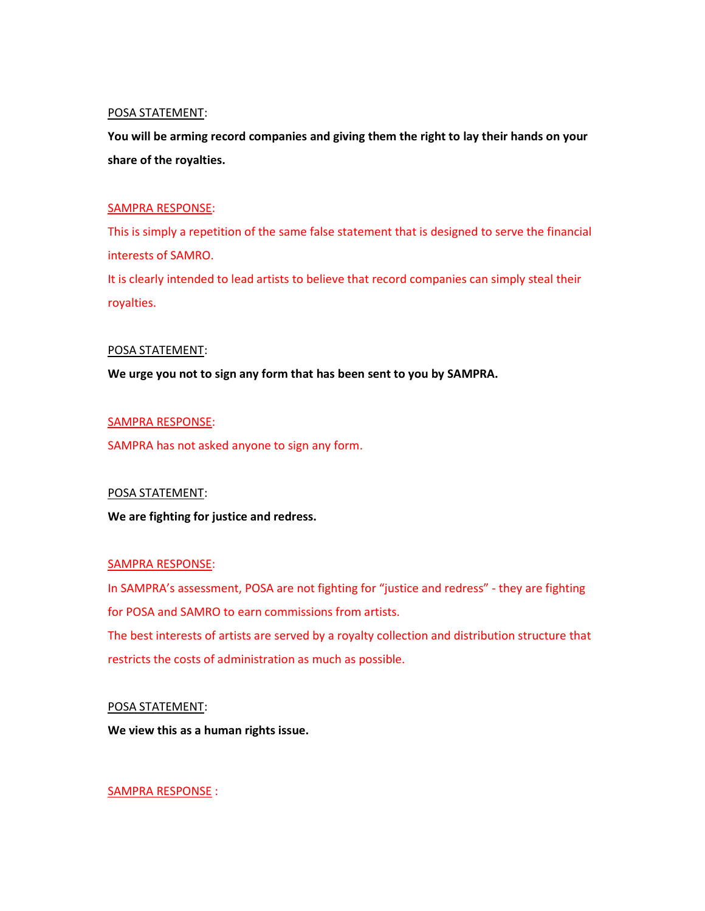# POSA STATEMENT:

**You will be arming record companies and giving them the right to lay their hands on your share of the royalties.** 

# SAMPRA RESPONSE:

This is simply a repetition of the same false statement that is designed to serve the financial interests of SAMRO. It is clearly intended to lead artists to believe that record companies can simply steal their

royalties.

## POSA STATEMENT:

**We urge you not to sign any form that has been sent to you by SAMPRA.**

## SAMPRA RESPONSE:

SAMPRA has not asked anyone to sign any form.

## POSA STATEMENT:

**We are fighting for justice and redress.**

### SAMPRA RESPONSE:

In SAMPRA's assessment, POSA are not fighting for "justice and redress" - they are fighting for POSA and SAMRO to earn commissions from artists. The best interests of artists are served by a royalty collection and distribution structure that

restricts the costs of administration as much as possible.

### POSA STATEMENT:

**We view this as a human rights issue.**

SAMPRA RESPONSE :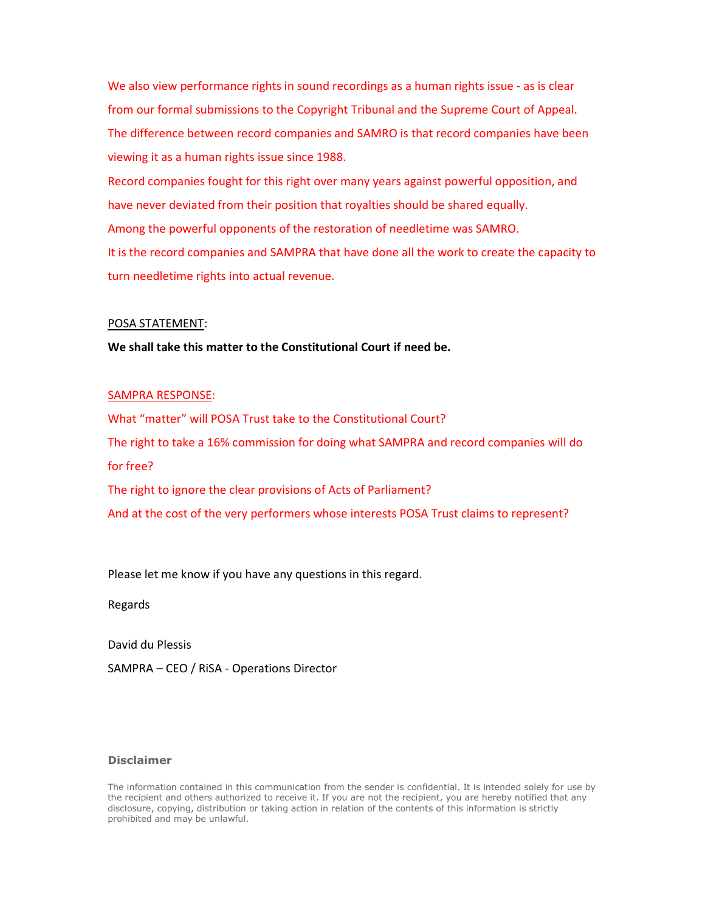We also view performance rights in sound recordings as a human rights issue - as is clear from our formal submissions to the Copyright Tribunal and the Supreme Court of Appeal. The difference between record companies and SAMRO is that record companies have been viewing it as a human rights issue since 1988.

Record companies fought for this right over many years against powerful opposition, and have never deviated from their position that royalties should be shared equally. Among the powerful opponents of the restoration of needletime was SAMRO. It is the record companies and SAMPRA that have done all the work to create the capacity to turn needletime rights into actual revenue.

### POSA STATEMENT:

## **We shall take this matter to the Constitutional Court if need be.**

## SAMPRA RESPONSE:

What "matter" will POSA Trust take to the Constitutional Court? The right to take a 16% commission for doing what SAMPRA and record companies will do for free? The right to ignore the clear provisions of Acts of Parliament?

And at the cost of the very performers whose interests POSA Trust claims to represent?

Please let me know if you have any questions in this regard.

Regards

David du Plessis

SAMPRA – CEO / RiSA - Operations Director

# **Disclaimer**

The information contained in this communication from the sender is confidential. It is intended solely for use by the recipient and others authorized to receive it. If you are not the recipient, you are hereby notified that any disclosure, copying, distribution or taking action in relation of the contents of this information is strictly prohibited and may be unlawful.